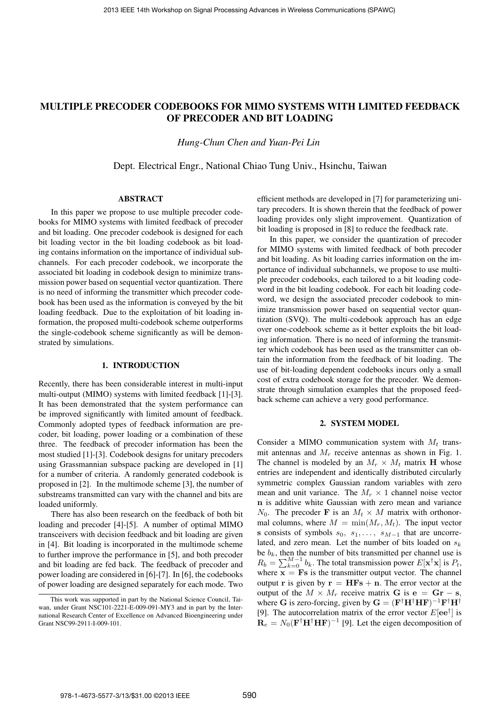# MULTIPLE PRECODER CODEBOOKS FOR MIMO SYSTEMS WITH LIMITED FEEDBACK OF PRECODER AND BIT LOADING

*Hung-Chun Chen and Yuan-Pei Lin*

Dept. Electrical Engr., National Chiao Tung Univ., Hsinchu, Taiwan

# ABSTRACT

In this paper we propose to use multiple precoder codebooks for MIMO systems with limited feedback of precoder and bit loading. One precoder codebook is designed for each bit loading vector in the bit loading codebook as bit loading contains information on the importance of individual subchannels. For each precoder codebook, we incorporate the associated bit loading in codebook design to minimize transmission power based on sequential vector quantization. There is no need of informing the transmitter which precoder codebook has been used as the information is conveyed by the bit loading feedback. Due to the exploitation of bit loading information, the proposed multi-codebook scheme outperforms the single-codebook scheme significantly as will be demonstrated by simulations.

## 1. INTRODUCTION

Recently, there has been considerable interest in multi-input multi-output (MIMO) systems with limited feedback [1]-[3]. It has been demonstrated that the system performance can be improved significantly with limited amount of feedback. Commonly adopted types of feedback information are precoder, bit loading, power loading or a combination of these three. The feedback of precoder information has been the most studied [1]-[3]. Codebook designs for unitary precoders using Grassmannian subspace packing are developed in [1] for a number of criteria. A randomly generated codebook is proposed in [2]. In the multimode scheme [3], the number of substreams transmitted can vary with the channel and bits are loaded uniformly.

There has also been research on the feedback of both bit loading and precoder [4]-[5]. A number of optimal MIMO transceivers with decision feedback and bit loading are given in [4]. Bit loading is incorporated in the multimode scheme to further improve the performance in [5], and both precoder and bit loading are fed back. The feedback of precoder and power loading are considered in [6]-[7]. In [6], the codebooks of power loading are designed separately for each mode. Two

efficient methods are developed in [7] for parameterizing unitary precoders. It is shown therein that the feedback of power loading provides only slight improvement. Quantization of bit loading is proposed in [8] to reduce the feedback rate.

In this paper, we consider the quantization of precoder for MIMO systems with limited feedback of both precoder and bit loading. As bit loading carries information on the importance of individual subchannels, we propose to use multiple precoder codebooks, each tailored to a bit loading codeword in the bit loading codebook. For each bit loading codeword, we design the associated precoder codebook to minimize transmission power based on sequential vector quantization (SVQ). The multi-codebook approach has an edge over one-codebook scheme as it better exploits the bit loading information. There is no need of informing the transmitter which codebook has been used as the transmitter can obtain the information from the feedback of bit loading. The use of bit-loading dependent codebooks incurs only a small cost of extra codebook storage for the precoder. We demonstrate through simulation examples that the proposed feedback scheme can achieve a very good performance.

#### 2. SYSTEM MODEL

Consider a MIMO communication system with *M<sup>t</sup>* transmit antennas and *M<sup>r</sup>* receive antennas as shown in Fig. 1. The channel is modeled by an  $M_r \times M_t$  matrix **H** whose entries are independent and identically distributed circularly symmetric complex Gaussian random variables with zero mean and unit variance. The  $M_r \times 1$  channel noise vector n is additive white Gaussian with zero mean and variance  $N_0$ . The precoder **F** is an  $M_t \times M$  matrix with orthonormal columns, where  $M = \min(M_r, M_t)$ . The input vector s consists of symbols  $s_0$ ,  $s_1$ , ...,  $s_{M-1}$  that are uncorrelated, and zero mean. Let the number of bits loaded on *s<sup>k</sup>* be  $b_k$ , then the number of bits transmitted per channel use is  $R_b = \sum_{k=0}^{M-1} b_k$ . The total transmission power  $E[\mathbf{x}^\dagger \mathbf{x}]$  is  $P_t$ , where  $\overline{\mathbf{x}} = \mathbf{F}\mathbf{s}$  is the transmitter output vector. The channel output **r** is given by  $\mathbf{r} = \mathbf{H} \mathbf{F} \mathbf{s} + \mathbf{n}$ . The error vector at the output of the  $M \times M_r$  receive matrix G is  $e = Gr - s$ . where G is zero-forcing, given by  $G = (F^{\dagger}H^{\dagger}HF)^{-1}F^{\dagger}H^{\dagger}$ [9]. The autocorrelation matrix of the error vector  $E[\mathbf{ee}^{\dagger}]$  is  $\mathbf{R}_e = N_0 (\mathbf{F}^\dagger \mathbf{H}^\dagger \mathbf{H} \mathbf{F})^{-1}$  [9]. Let the eigen decomposition of

This work was supported in part by the National Science Council, Taiwan, under Grant NSC101-2221-E-009-091-MY3 and in part by the International Research Center of Excellence on Advanced Bioengineering under Grant NSC99-2911-I-009-101.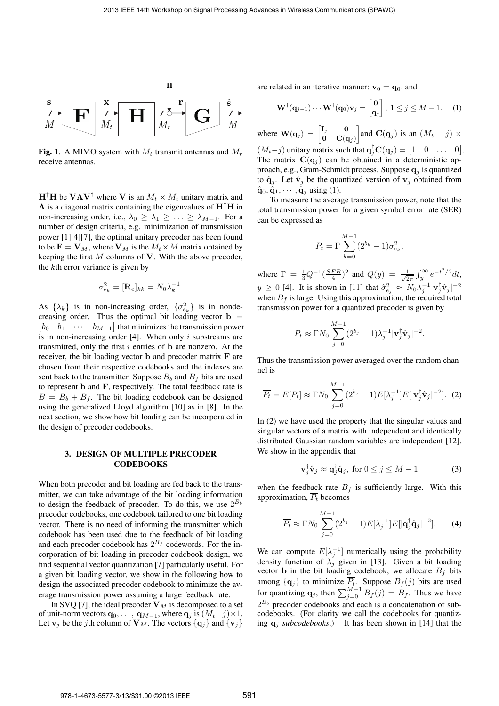

**Fig. 1.** A MIMO system with  $M_t$  transmit antennas and  $M_r$ receive antennas.

 $H^{\dagger}H$  be  $V\Lambda V^{\dagger}$  where V is an  $M_t \times M_t$  unitary matrix and  $\Lambda$  is a diagonal matrix containing the eigenvalues of  $H^{\dagger}H$  in non-increasing order, i.e.,  $\lambda_0 \geq \lambda_1 \geq \ldots \geq \lambda_{M-1}$ . For a number of design criteria, e.g. minimization of transmission power [1][4][7], the optimal unitary precoder has been found to be  $\mathbf{F} = \mathbf{V}_M$ , where  $\mathbf{V}_M$  is the  $M_t \times M$  matrix obtained by keeping the first *M* columns of V. With the above precoder, the *k*th error variance is given by

$$
\sigma_{e_k}^2 = [\mathbf{R}_e]_{kk} = N_0 \lambda_k^{-1}.
$$

As  $\{\lambda_k\}$  is in non-increasing order,  $\{\sigma_{e_k}^2\}$  is in nondecreasing order. Thus the optimal bit loading vector  $\mathbf{b} =$  $b_0$   $b_1$   $\cdots$   $b_{M-1}$  that minimizes the transmission power is in non-increasing order [4]. When only *i* substreams are transmitted, only the first *i* entries of b are nonzero. At the receiver, the bit loading vector b and precoder matrix F are chosen from their respective codebooks and the indexes are sent back to the transmitter. Suppose  $B_b$  and  $B_f$  bits are used to represent b and F, respectively. The total feedback rate is  $B = B_b + B_f$ . The bit loading codebook can be designed using the generalized Lloyd algorithm [10] as in [8]. In the next section, we show how bit loading can be incorporated in the design of precoder codebooks.

# 3. DESIGN OF MULTIPLE PRECODER **CODEBOOKS**

When both precoder and bit loading are fed back to the transmitter, we can take advantage of the bit loading information to design the feedback of precoder. To do this, we use  $2^{B_b}$ precoder codebooks, one codebook tailored to one bit loading vector. There is no need of informing the transmitter which codebook has been used due to the feedback of bit loading and each precoder codebook has  $2^{B_f}$  codewords. For the incorporation of bit loading in precoder codebook design, we find sequential vector quantization [7] particularly useful. For a given bit loading vector, we show in the following how to design the associated precoder codebook to minimize the average transmission power assuming a large feedback rate.

In SVQ [7], the ideal precoder  $V_M$  is decomposed to a set of unit-norm vectors  $\mathbf{q}_0, \dots, \mathbf{q}_{M-1}$ , where  $\mathbf{q}_j$  is  $(M_t-j) \times 1$ . Let  $\mathbf{v}_j$  be the *j*th column of  $\mathbf{V}_M$ . The vectors  $\{\mathbf{q}_j\}$  and  $\{\mathbf{v}_j\}$ 

are related in an iterative manner:  $v_0 = q_0$ , and

$$
\mathbf{W}^{\dagger}(\mathbf{q}_{j-1})\cdots\mathbf{W}^{\dagger}(\mathbf{q}_0)\mathbf{v}_j = \begin{bmatrix} \mathbf{0} \\ \mathbf{q}_j \end{bmatrix}, 1 \leq j \leq M - 1.
$$
 (1)

where  $\mathbf{W}(\mathbf{q}_j) = \begin{bmatrix} \mathbf{I}_j & \mathbf{0} \\ \mathbf{0} & \mathbf{C}\end{bmatrix}$  $\mathbf{O} \quad \mathbf{C}(\mathbf{q}_j)$ and  $\mathbf{C}(\mathbf{q}_j)$  is an  $(M_t - j) \times$  $(M_t - j)$  unitary matrix such that  $\mathbf{q}_j^{\dagger} \mathbf{C}(\mathbf{q}_j) = \begin{bmatrix} 1 & 0 & \dots & 0 \end{bmatrix}$ .

The matrix  $\mathbf{C}(\mathbf{q}_j)$  can be obtained in a deterministic approach, e.g., Gram-Schmidt process. Suppose q*<sup>j</sup>* is quantized to  $\hat{\mathbf{q}}_i$ . Let  $\hat{\mathbf{v}}_i$  be the quantized version of  $\mathbf{v}_i$  obtained from  $\hat{\mathbf{q}}_0, \hat{\mathbf{q}}_1, \cdots, \hat{\mathbf{q}}_i$  using (1).

To measure the average transmission power, note that the total transmission power for a given symbol error rate (SER) can be expressed as

$$
P_t = \Gamma \sum_{k=0}^{M-1} (2^{b_k} - 1) \sigma_{e_k}^2,
$$

where  $\Gamma = \frac{1}{3}Q^{-1}(\frac{SER}{4})^2$  and  $Q(y) = \frac{1}{\sqrt{2}}$  $\frac{1}{2\pi} \int_y^\infty e^{-t^2/2} dt$  $y \ge 0$  [4]. It is shown in [11] that  $\hat{\sigma}_{e_j}^2 \approx N_0 \lambda_j^{-1} |\mathbf{v}_j^{\dagger} \hat{\mathbf{v}}_j|^{-2}$ when  $B_f$  is large. Using this approximation, the required total transmission power for a quantized precoder is given by

$$
P_t \approx \Gamma N_0 \sum_{j=0}^{M-1} (2^{b_j} - 1) \lambda_j^{-1} |\mathbf{v}_j^{\dagger} \hat{\mathbf{v}}_j|^{-2}.
$$

Thus the transmission power averaged over the random channel is

$$
\overline{P_t} = E[P_t] \approx \Gamma N_0 \sum_{j=0}^{M-1} (2^{b_j} - 1) E[\lambda_j^{-1}] E[|\mathbf{v}_j^{\dagger} \hat{\mathbf{v}}_j|^{-2}]. \tag{2}
$$

In (2) we have used the property that the singular values and singular vectors of a matrix with independent and identically distributed Gaussian random variables are independent [12]. We show in the appendix that

$$
\mathbf{v}_j^{\dagger} \hat{\mathbf{v}}_j \approx \mathbf{q}_j^{\dagger} \hat{\mathbf{q}}_j, \text{ for } 0 \le j \le M - 1 \tag{3}
$$

when the feedback rate  $B_f$  is sufficiently large. With this approximation,  $\overline{P_t}$  becomes

$$
\overline{P_t} \approx \Gamma N_0 \sum_{j=0}^{M-1} (2^{b_j} - 1) E[\lambda_j^{-1}] E[|\mathbf{q}_j^{\dagger} \hat{\mathbf{q}}_j|^{-2}]. \tag{4}
$$

We can compute  $E[\lambda_j^{-1}]$  numerically using the probability density function of  $\lambda_j$  given in [13]. Given a bit loading vector **b** in the bit loading codebook, we allocate  $B_f$  bits among  $\{q_j\}$  to minimize  $P_t$ . Suppose  $B_f(j)$  bits are used for quantizing  $\mathbf{q}_j$ , then  $\sum_{j=0}^{M-1} B_f(j) = B_f$ . Thus we have  $2^{B_b}$  precoder codebooks and each is a concatenation of subcodebooks. (For clarity we call the codebooks for quantizing q*<sup>j</sup> subcodebooks*.) It has been shown in [14] that the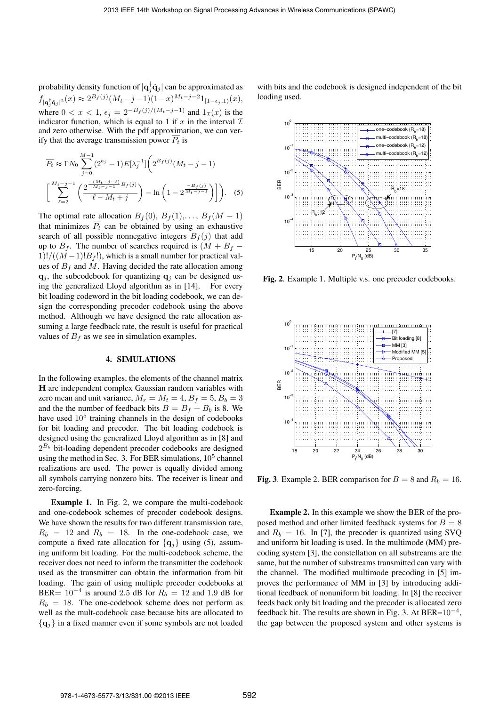probability density function of  $|q_j^{\dagger} \hat{q}_j|$  can be approximated as  $f_{|\mathbf{q}_j^{\dagger} \hat{\mathbf{q}}_j|^2}(x) \approx 2^{B_f(j)} (M_t - j - 1)(1 - x)^{M_t - j - 2} 1_{[1 - \epsilon_j, 1)}(x)$ , where  $0 < x < 1$ ,  $\epsilon_i = 2^{-B_f(j)/(M_t-j-1)}$  and  $1_{\mathcal{T}}(x)$  is the indicator function, which is equal to 1 if  $x$  in the interval  $\mathcal I$ and zero otherwise. With the pdf approximation, we can verify that the average transmission power  $\overline{P_t}$  is

$$
\overline{P_t} \approx \Gamma N_0 \sum_{j=0}^{M-1} (2^{b_j} - 1) E[\lambda_j^{-1}] \left( 2^{B_f(j)} (M_t - j - 1) \right)
$$

$$
\left[ \sum_{\ell=2}^{M_t - j - 1} \left( \frac{2^{-\frac{(M_t - j - \ell)}{M_t - j - 1} B_f(j)}}{\ell - M_t + j} \right) - \ln \left( 1 - 2^{\frac{-B_f(j)}{M_t - j - 1}} \right) \right].
$$
 (5)

The optimal rate allocation  $B_f(0), B_f(1), \ldots, B_f(M-1)$ that minimizes  $\overline{P_t}$  can be obtained by using an exhaustive search of all possible nonnegative integers  $B_f(j)$  that add up to  $B_f$ . The number of searches required is  $(M + B_f 1)!/((M-1)!B_f!)$ , which is a small number for practical values of  $B_f$  and M. Having decided the rate allocation among  $q_j$ , the subcodebook for quantizing  $q_j$  can be designed using the generalized Lloyd algorithm as in [14]. For every bit loading codeword in the bit loading codebook, we can design the corresponding precoder codebook using the above method. Although we have designed the rate allocation assuming a large feedback rate, the result is useful for practical values of  $B_f$  as we see in simulation examples.

#### 4. SIMULATIONS

In the following examples, the elements of the channel matrix H are independent complex Gaussian random variables with zero mean and unit variance,  $M_r = M_t = 4$ ,  $B_f = 5$ ,  $B_b = 3$ and the the number of feedback bits  $B = B_f + B_b$  is 8. We have used  $10<sup>5</sup>$  training channels in the design of codebooks for bit loading and precoder. The bit loading codebook is designed using the generalized Lloyd algorithm as in [8] and  $2^{B_b}$  bit-loading dependent precoder codebooks are designed using the method in Sec. 3. For BER simulations,  $10<sup>5</sup>$  channel realizations are used. The power is equally divided among all symbols carrying nonzero bits. The receiver is linear and zero-forcing.

Example 1. In Fig. 2, we compare the multi-codebook and one-codebook schemes of precoder codebook designs. We have shown the results for two different transmission rate,  $R_b = 12$  and  $R_b = 18$ . In the one-codebook case, we compute a fixed rate allocation for  $\{q_j\}$  using (5), assuming uniform bit loading. For the multi-codebook scheme, the receiver does not need to inform the transmitter the codebook used as the transmitter can obtain the information from bit loading. The gain of using multiple precoder codebooks at BER=  $10^{-4}$  is around 2.5 dB for  $R_b = 12$  and 1.9 dB for  $R_b = 18$ . The one-codebook scheme does not perform as well as the mult-codebook case because bits are allocated to *{*q*j}* in a fixed manner even if some symbols are not loaded

with bits and the codebook is designed independent of the bit loading used.



Fig. 2. Example 1. Multiple v.s. one precoder codebooks.



Fig. 3. Example 2. BER comparison for  $B = 8$  and  $R_b = 16$ .

Example 2. In this example we show the BER of the proposed method and other limited feedback systems for  $B = 8$ and  $R_b = 16$ . In [7], the precoder is quantized using SVQ and uniform bit loading is used. In the multimode (MM) precoding system [3], the constellation on all substreams are the same, but the number of substreams transmitted can vary with the channel. The modified multimode precoding in [5] improves the performance of MM in [3] by introducing additional feedback of nonuniform bit loading. In [8] the receiver feeds back only bit loading and the precoder is allocated zero feedback bit. The results are shown in Fig. 3. At BER= $10^{-4}$ , the gap between the proposed system and other systems is